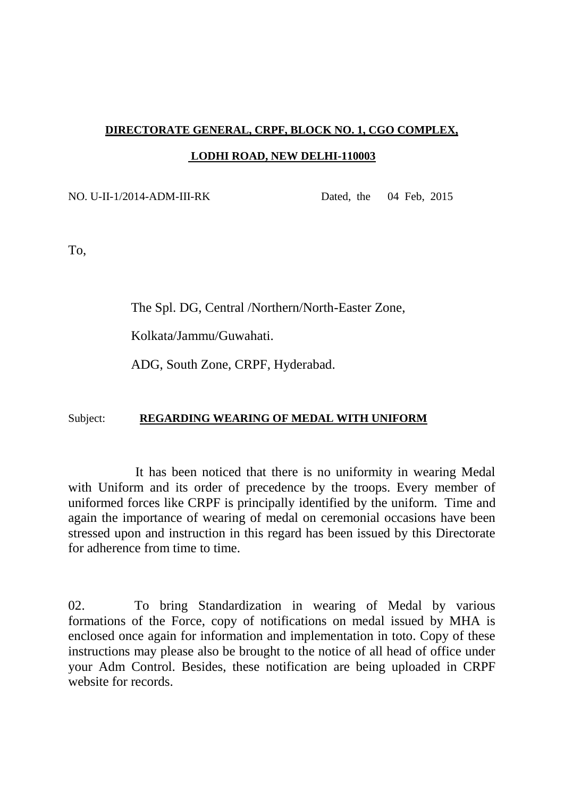## **DIRECTORATE GENERAL, CRPF, BLOCK NO. 1, CGO COMPLEX, LODHI ROAD, NEW DELHI-110003**

## NO. U-II-1/2014-ADM-III-RK Dated, the 04 Feb, 2015

To,

The Spl. DG, Central /Northern/North-Easter Zone,

Kolkata/Jammu/Guwahati.

ADG, South Zone, CRPF, Hyderabad.

## Subject: **REGARDING WEARING OF MEDAL WITH UNIFORM**

 It has been noticed that there is no uniformity in wearing Medal with Uniform and its order of precedence by the troops. Every member of uniformed forces like CRPF is principally identified by the uniform. Time and again the importance of wearing of medal on ceremonial occasions have been stressed upon and instruction in this regard has been issued by this Directorate for adherence from time to time.

02. To bring Standardization in wearing of Medal by various formations of the Force, copy of notifications on medal issued by MHA is enclosed once again for information and implementation in toto. Copy of these instructions may please also be brought to the notice of all head of office under your Adm Control. Besides, these notification are being uploaded in CRPF website for records.